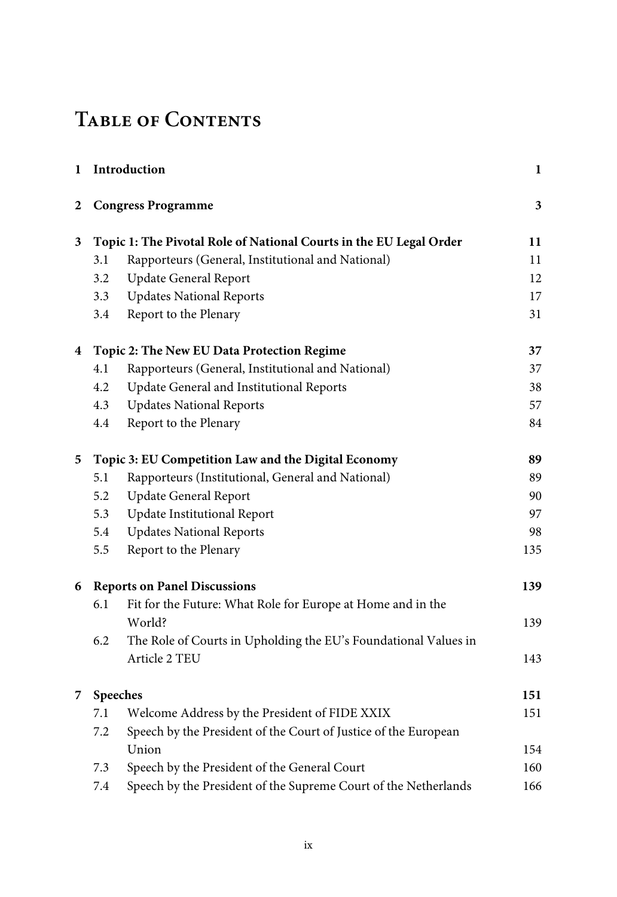## **Table of Contents**

| 1              |                                                                    | Introduction                                                    | $\mathbf{1}$ |
|----------------|--------------------------------------------------------------------|-----------------------------------------------------------------|--------------|
| 2              |                                                                    | <b>Congress Programme</b>                                       | 3            |
| 3              | Topic 1: The Pivotal Role of National Courts in the EU Legal Order |                                                                 | 11           |
|                | 3.1                                                                | Rapporteurs (General, Institutional and National)               | 11           |
|                | 3.2                                                                | <b>Update General Report</b>                                    | 12           |
|                | 3.3                                                                | <b>Updates National Reports</b>                                 | 17           |
|                | 3.4                                                                | Report to the Plenary                                           | 31           |
| $\overline{4}$ | Topic 2: The New EU Data Protection Regime                         |                                                                 |              |
|                | 4.1                                                                | Rapporteurs (General, Institutional and National)               | 37           |
|                | 4.2                                                                | Update General and Institutional Reports                        | 38           |
|                | 4.3                                                                | <b>Updates National Reports</b>                                 | 57           |
|                | 4.4                                                                | Report to the Plenary                                           | 84           |
| 5              | Topic 3: EU Competition Law and the Digital Economy                |                                                                 | 89           |
|                | 5.1                                                                | Rapporteurs (Institutional, General and National)               | 89           |
|                | 5.2                                                                | <b>Update General Report</b>                                    | 90           |
|                | 5.3                                                                | Update Institutional Report                                     | 97           |
|                | 5.4                                                                | <b>Updates National Reports</b>                                 | 98           |
|                | 5.5                                                                | Report to the Plenary                                           | 135          |
| 6              |                                                                    | <b>Reports on Panel Discussions</b>                             | 139          |
|                | 6.1                                                                | Fit for the Future: What Role for Europe at Home and in the     |              |
|                |                                                                    | World?                                                          | 139          |
|                | 6.2                                                                | The Role of Courts in Upholding the EU's Foundational Values in |              |
|                |                                                                    | Article 2 TEU                                                   | 143          |
| 7              | Speeches                                                           |                                                                 | 151          |
|                | 7.1                                                                | Welcome Address by the President of FIDE XXIX                   | 151          |
|                | $7.2\,$                                                            | Speech by the President of the Court of Justice of the European |              |
|                |                                                                    | Union                                                           | 154          |
|                | 7.3                                                                | Speech by the President of the General Court                    | 160          |
|                | 7.4                                                                | Speech by the President of the Supreme Court of the Netherlands | 166          |